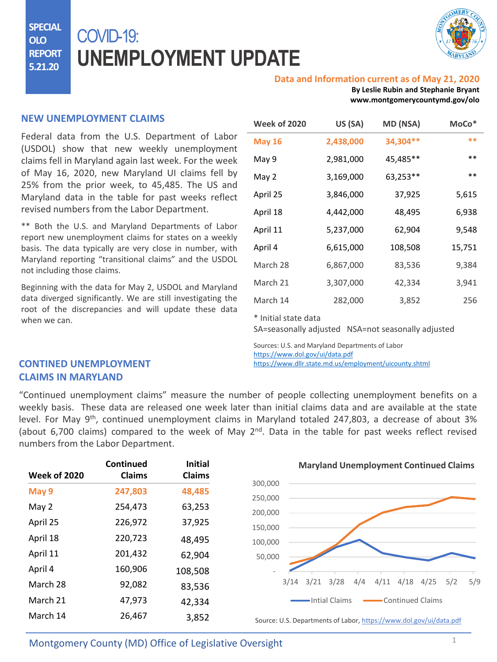**SPECIAL OLO REPORT 5.21.20**

# COVID-19: **UNEMPLOYMENT UPDATE**



#### **Data and Information current as of May 21, 2020**

**By Leslie Rubin and Stephanie Bryant www.montgomerycountymd.gov/olo**

### **NEW UNEMPLOYMENT CLAIMS**

Federal data from the U.S. Department of Labor (USDOL) show that new weekly unemployment claims fell in Maryland again last week. For the week of May 16, 2020, new Maryland UI claims fell by 25% from the prior week, to 45,485. The US and Maryland data in the table for past weeks reflect revised numbers from the Labor Department.

\*\* Both the U.S. and Maryland Departments of Labor report new unemployment claims for states on a weekly basis. The data typically are very close in number, with Maryland reporting "transitional claims" and the USDOL not including those claims.

Beginning with the data for May 2, USDOL and Maryland data diverged significantly. We are still investigating the root of the discrepancies and will update these data when we can.

| <b>Week of 2020</b> | US (SA)   | MD (NSA)  | MoCo <sup>*</sup> |
|---------------------|-----------|-----------|-------------------|
| <b>May 16</b>       | 2,438,000 | 34,304 ** | $* *$             |
| May 9               | 2,981,000 | 45,485**  | $***$             |
| May 2               | 3,169,000 | 63,253**  | $***$             |
| April 25            | 3,846,000 | 37,925    | 5,615             |
| April 18            | 4,442,000 | 48,495    | 6,938             |
| April 11            | 5,237,000 | 62,904    | 9,548             |
| April 4             | 6,615,000 | 108,508   | 15,751            |
| March 28            | 6,867,000 | 83,536    | 9,384             |
| March 21            | 3,307,000 | 42,334    | 3,941             |
| March 14            | 282,000   | 3,852     | 256               |

\* Initial state data

SA=seasonally adjusted NSA=not seasonally adjusted

Sources: U.S. and Maryland Departments of Labor <https://www.dol.gov/ui/data.pdf> <https://www.dllr.state.md.us/employment/uicounty.shtml>

## **CONTINED UNEMPLOYMENT CLAIMS IN MARYLAND**

"Continued unemployment claims" measure the number of people collecting unemployment benefits on a weekly basis. These data are released one week later than initial claims data and are available at the state level. For May 9<sup>th</sup>, continued unemployment claims in Maryland totaled 247,803, a decrease of about 3% (about 6,700 claims) compared to the week of May 2<sup>nd</sup>. Data in the table for past weeks reflect revised numbers from the Labor Department.

| <b>Week of 2020</b> | <b>Continued</b><br><b>Claims</b> | <b>Initial</b><br><b>Claims</b> | <b>Maryland Unemployment Continued Claims</b>                      |
|---------------------|-----------------------------------|---------------------------------|--------------------------------------------------------------------|
| May 9               | 247,803                           | 48,485                          | 300,000<br>250,000                                                 |
| May 2               | 254,473                           | 63,253                          | 200,000                                                            |
| April 25            | 226,972                           | 37,925                          | 150,000                                                            |
| April 18            | 220,723                           | 48,495                          | 100,000                                                            |
| April 11            | 201,432                           | 62,904                          | 50,000                                                             |
| April 4             | 160,906                           | 108,508                         |                                                                    |
| March 28            | 92,082                            | 83,536                          | 5/9<br>3/28<br>4/18<br>4/25<br>5/2<br>3/14<br>3/21<br>4/4<br>4/11  |
| March 21            | 47,973                            | 42,334                          | Intial Claims<br>Continued Claims                                  |
| March 14            | 26,467                            | 3,852                           | Source: U.S. Departments of Labor, https://www.dol.gov/ui/data.pdf |